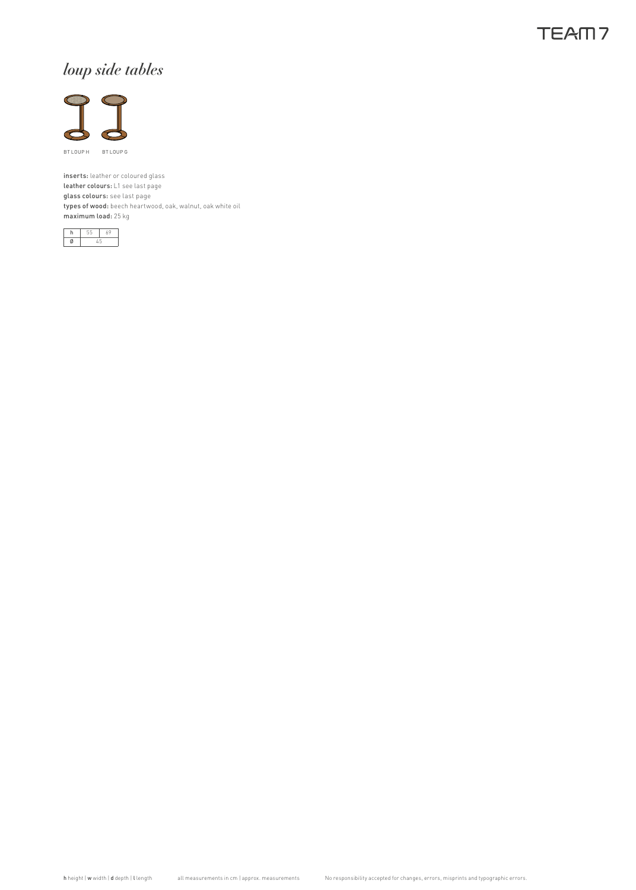## **TEAM7**

# *loup side tables*



inserts: leather or coloured glass leather colours: L1 see last page glass colours: see last page types of wood: beech heartwood, oak, walnut, oak white oil maximum load: 25 kg

| o este de |  |  |  |
|-----------|--|--|--|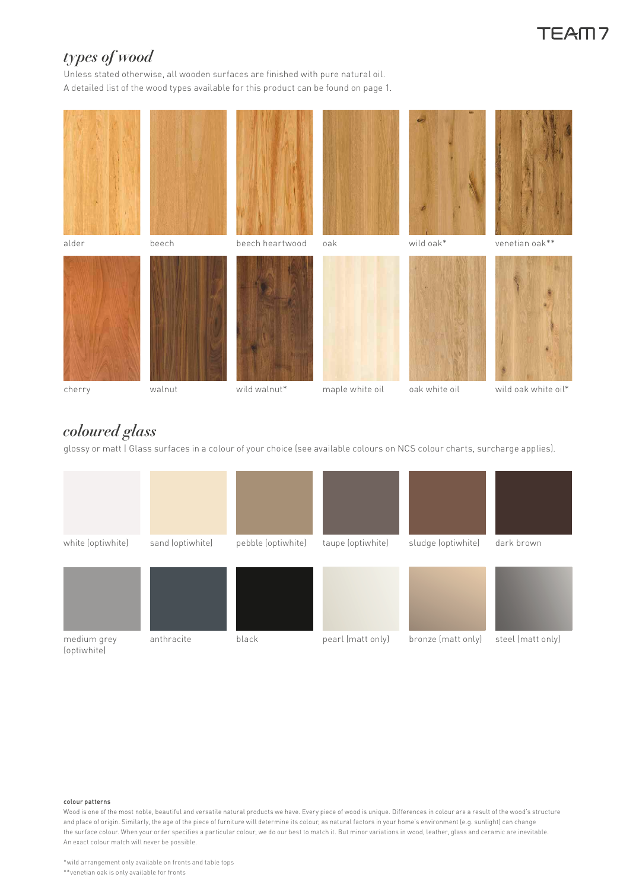# TFAM7

## *types of wood*

Unless stated otherwise, all wooden surfaces are finished with pure natural oil. A detailed list of the wood types available for this product can be found on page 1.



### cherry

### walnut

- wild walnut\* oak white oil maple white oil
	-
- wild oak white oil\*

## *coloured glass*

glossy or matt | Glass surfaces in a colour of your choice (see available colours on NCS colour charts, surcharge applies).



#### colour patterns

Wood is one of the most noble, beautiful and versatile natural products we have. Every piece of wood is unique. Differences in colour are a result of the wood's structure and place of origin. Similarly, the age of the piece of furniture will determine its colour, as natural factors in your home's environment (e.g. sunlight) can change the surface colour. When your order specifies a particular colour, we do our best to match it. But minor variations in wood, leather, glass and ceramic are inevitable. An exact colour match will never be possible.